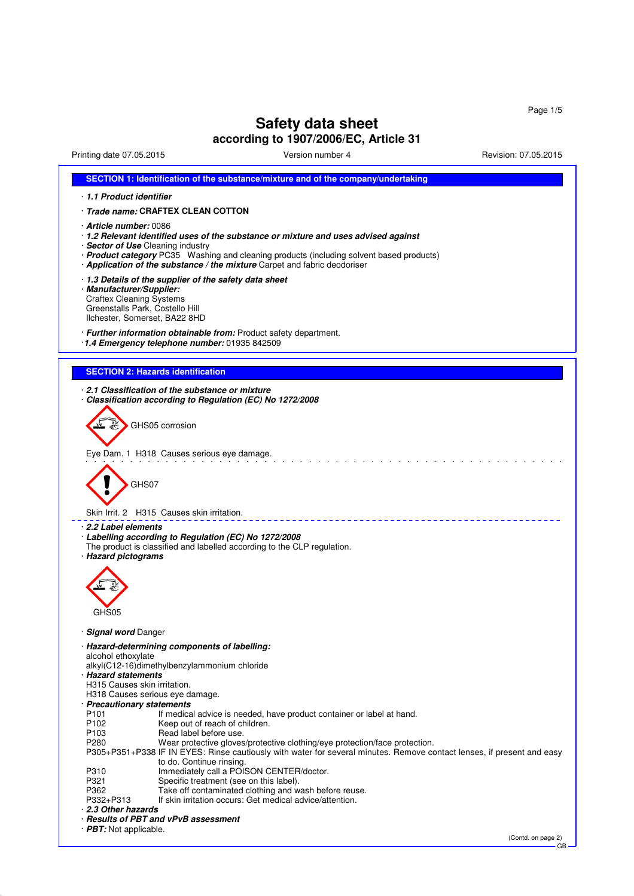GB

# **Safety data sheet**

# **according to 1907/2006/EC, Article 31**

Printing date 07.05.2015 Version number 4 Revision: 07.05.2015

| SECTION 1: Identification of the substance/mixture and of the company/undertaking                                                                                                                            |
|--------------------------------------------------------------------------------------------------------------------------------------------------------------------------------------------------------------|
| 1.1 Product identifier                                                                                                                                                                                       |
| · Trade name: CRAFTEX CLEAN COTTON                                                                                                                                                                           |
|                                                                                                                                                                                                              |
| · Article number: 0086<br>⋅ 1.2 Relevant identified uses of the substance or mixture and uses advised against                                                                                                |
| · Sector of Use Cleaning industry                                                                                                                                                                            |
| · Product category PC35 Washing and cleaning products (including solvent based products)                                                                                                                     |
| · Application of the substance / the mixture Carpet and fabric deodoriser                                                                                                                                    |
| 1.3 Details of the supplier of the safety data sheet<br>· Manufacturer/Supplier:                                                                                                                             |
| <b>Craftex Cleaning Systems</b>                                                                                                                                                                              |
| Greenstalls Park, Costello Hill                                                                                                                                                                              |
| Ilchester, Somerset, BA22 8HD                                                                                                                                                                                |
| · Further information obtainable from: Product safety department.                                                                                                                                            |
| 1.4 Emergency telephone number: 01935 842509                                                                                                                                                                 |
|                                                                                                                                                                                                              |
| <b>SECTION 2: Hazards identification</b>                                                                                                                                                                     |
| 2.1 Classification of the substance or mixture                                                                                                                                                               |
| Classification according to Regulation (EC) No 1272/2008                                                                                                                                                     |
|                                                                                                                                                                                                              |
| GHS05 corrosion                                                                                                                                                                                              |
|                                                                                                                                                                                                              |
| Eye Dam. 1 H318 Causes serious eye damage.                                                                                                                                                                   |
|                                                                                                                                                                                                              |
|                                                                                                                                                                                                              |
| GHS07                                                                                                                                                                                                        |
|                                                                                                                                                                                                              |
| Skin Irrit. 2 H315 Causes skin irritation.                                                                                                                                                                   |
| · 2.2 Label elements                                                                                                                                                                                         |
| · Labelling according to Regulation (EC) No 1272/2008<br>The product is classified and labelled according to the CLP regulation.                                                                             |
| · Hazard pictograms                                                                                                                                                                                          |
|                                                                                                                                                                                                              |
|                                                                                                                                                                                                              |
|                                                                                                                                                                                                              |
|                                                                                                                                                                                                              |
| GHS05                                                                                                                                                                                                        |
| · Signal word Danger                                                                                                                                                                                         |
| · Hazard-determining components of labelling:                                                                                                                                                                |
| alcohol ethoxylate                                                                                                                                                                                           |
| alkyl(C12-16)dimethylbenzylammonium chloride<br>· Hazard statements                                                                                                                                          |
| H315 Causes skin irritation.                                                                                                                                                                                 |
| H318 Causes serious eye damage.                                                                                                                                                                              |
| · Precautionary statements<br>P <sub>101</sub><br>If medical advice is needed, have product container or label at hand.                                                                                      |
| P102<br>Keep out of reach of children.                                                                                                                                                                       |
| P <sub>103</sub><br>Read label before use.                                                                                                                                                                   |
| P280<br>Wear protective gloves/protective clothing/eye protection/face protection.<br>P305+P351+P338 IF IN EYES: Rinse cautiously with water for several minutes. Remove contact lenses, if present and easy |
| to do. Continue rinsing.                                                                                                                                                                                     |
| Immediately call a POISON CENTER/doctor.<br>P310                                                                                                                                                             |
| P321<br>Specific treatment (see on this label).<br>Take off contaminated clothing and wash before reuse.<br>P362                                                                                             |
| If skin irritation occurs: Get medical advice/attention.<br>P332+P313                                                                                                                                        |
| 2.3 Other hazards                                                                                                                                                                                            |
| · Results of PBT and vPvB assessment<br>$\cdot$ <b>PBT:</b> Not applicable.                                                                                                                                  |
| (Contd. on page 2)                                                                                                                                                                                           |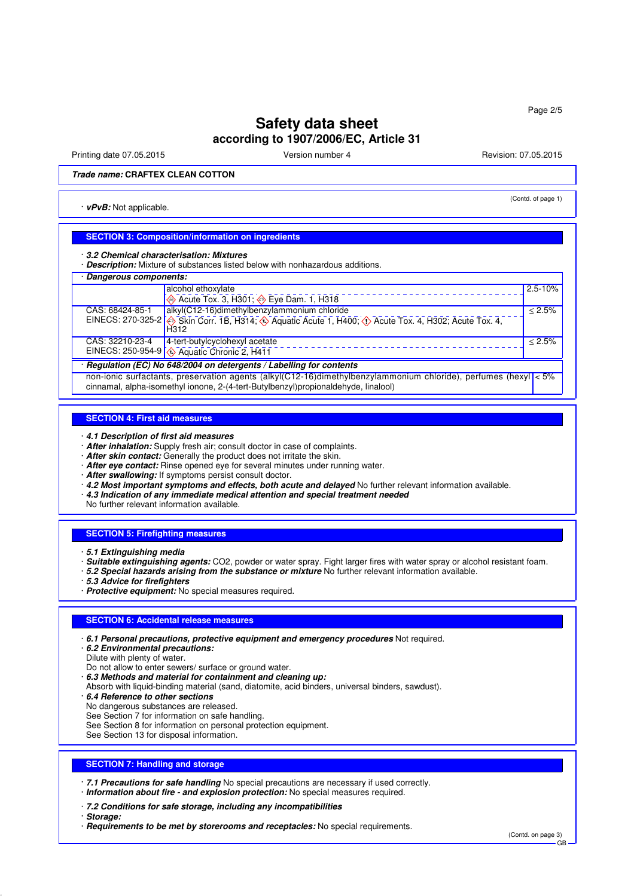Printing date 07.05.2015 **Version number 4** Account 2008 12:05.2015 **Revision: 07.05.2015** 

(Contd. of page 1)

### **Trade name: CRAFTEX CLEAN COTTON**

· **vPvB:** Not applicable.

# **SECTION 3: Composition/information on ingredients**

· **3.2 Chemical characterisation: Mixtures**

· **Description:** Mixture of substances listed below with nonhazardous additions.

| · Dangerous components:                                              |                                                                                                                                                                                                       |             |  |
|----------------------------------------------------------------------|-------------------------------------------------------------------------------------------------------------------------------------------------------------------------------------------------------|-------------|--|
|                                                                      | alcohol ethoxylate                                                                                                                                                                                    | $2.5 - 10%$ |  |
|                                                                      | $\otimes$ Acute Tox. 3, H301; $\otimes$ Eye Dam. 1, H318                                                                                                                                              |             |  |
| CAS: 68424-85-1                                                      | alkyl(C12-16)dimethylbenzylammonium chloride                                                                                                                                                          | < 2.5%      |  |
|                                                                      | EINECS: 270-325-2 $\otimes$ Skin Corr. 1B, H314; $\otimes$ Aquatic Acute 1, H400; $\otimes$ Acute Tox. 4, H302; Acute Tox. 4,<br>H <sub>312</sub>                                                     |             |  |
| CAS: 32210-23-4                                                      | 4-tert-butylcyclohexyl acetate                                                                                                                                                                        | < 2.5%      |  |
|                                                                      | EINECS: 250-954-9 $\sqrt{ }$ Aquatic Chronic 2, H411                                                                                                                                                  |             |  |
| · Regulation (EC) No 648/2004 on detergents / Labelling for contents |                                                                                                                                                                                                       |             |  |
|                                                                      | non-ionic surfactants, preservation agents (alkyl(C12-16)dimethylbenzylammonium chloride), perfumes (hexyl < 5%<br>cinnamal, alpha-isomethyl ionone, 2-(4-tert-Butylbenzyl)propionaldehyde, linalool) |             |  |

#### **SECTION 4: First aid measures**

· **4.1 Description of first aid measures**

- · **After inhalation:** Supply fresh air; consult doctor in case of complaints.
- · **After skin contact:** Generally the product does not irritate the skin.
- · **After eye contact:** Rinse opened eye for several minutes under running water.
- · **After swallowing:** If symptoms persist consult doctor.
- · **4.2 Most important symptoms and effects, both acute and delayed** No further relevant information available.
- · **4.3 Indication of any immediate medical attention and special treatment needed**

No further relevant information available.

### **SECTION 5: Firefighting measures**

- · **5.1 Extinguishing media**
- · **Suitable extinguishing agents:** CO2, powder or water spray. Fight larger fires with water spray or alcohol resistant foam.
- · **5.2 Special hazards arising from the substance or mixture** No further relevant information available.
- · **5.3 Advice for firefighters**
- · **Protective equipment:** No special measures required.

### **SECTION 6: Accidental release measures**

- · **6.1 Personal precautions, protective equipment and emergency procedures** Not required.
- · **6.2 Environmental precautions:**
- Dilute with plenty of water.
- Do not allow to enter sewers/ surface or ground water.
- · **6.3 Methods and material for containment and cleaning up:**
- Absorb with liquid-binding material (sand, diatomite, acid binders, universal binders, sawdust).
- · **6.4 Reference to other sections**
- No dangerous substances are released.
- See Section 7 for information on safe handling.
- See Section 8 for information on personal protection equipment.
- See Section 13 for disposal information.

### **SECTION 7: Handling and storage**

· **7.1 Precautions for safe handling** No special precautions are necessary if used correctly.

· **Information about fire - and explosion protection:** No special measures required.

· **7.2 Conditions for safe storage, including any incompatibilities**

- · **Storage:**
- · **Requirements to be met by storerooms and receptacles:** No special requirements.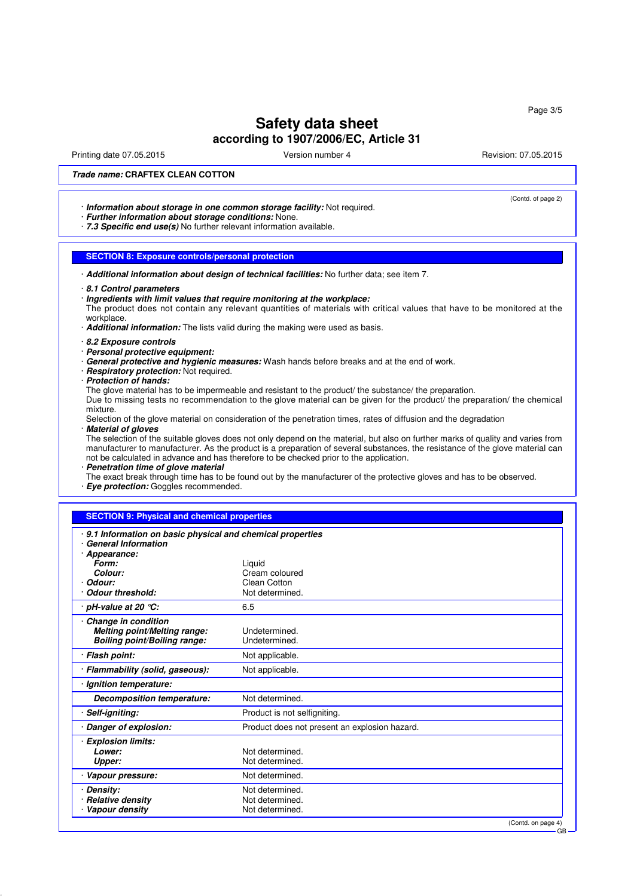Printing date 07.05.2015 **Version number 4** Account 2008 12:05.2015 **Revision: 07.05.2015** 

(Contd. of page 2)

### **Trade name: CRAFTEX CLEAN COTTON**

· **Information about storage in one common storage facility:** Not required.

- · **Further information about storage conditions:** None.
- · **7.3 Specific end use(s)** No further relevant information available.

### **SECTION 8: Exposure controls/personal protection**

· **Additional information about design of technical facilities:** No further data; see item 7.

- · **8.1 Control parameters**
- · **Ingredients with limit values that require monitoring at the workplace:**
- The product does not contain any relevant quantities of materials with critical values that have to be monitored at the workplace

#### · **Additional information:** The lists valid during the making were used as basis.

- · **8.2 Exposure controls**
- · **Personal protective equipment:**
- · **General protective and hygienic measures:** Wash hands before breaks and at the end of work.
- · **Respiratory protection:** Not required.
- · **Protection of hands:**

The glove material has to be impermeable and resistant to the product/ the substance/ the preparation.

Due to missing tests no recommendation to the glove material can be given for the product/ the preparation/ the chemical mixture.

Selection of the glove material on consideration of the penetration times, rates of diffusion and the degradation · **Material of gloves**

The selection of the suitable gloves does not only depend on the material, but also on further marks of quality and varies from manufacturer to manufacturer. As the product is a preparation of several substances, the resistance of the glove material can not be calculated in advance and has therefore to be checked prior to the application.

· **Penetration time of glove material**

The exact break through time has to be found out by the manufacturer of the protective gloves and has to be observed. · **Eye protection:** Goggles recommended.

### **SECTION 9: Physical and chemical properties**

| 9.1 Information on basic physical and chemical properties<br>· General Information                                |                                                                                   |
|-------------------------------------------------------------------------------------------------------------------|-----------------------------------------------------------------------------------|
| · Appearance:<br>Form:<br>Colour:<br>· Odour:<br>Odour threshold:                                                 | Liquid<br>Cream coloured<br>Clean Cotton<br>Not determined.<br>6.5                |
| · pH-value at 20 ℃:<br>Change in condition<br>Melting point/Melting range:<br><b>Boiling point/Boiling range:</b> | Undetermined.<br>Undetermined.                                                    |
| · Flash point:                                                                                                    | Not applicable.                                                                   |
| · Flammability (solid, gaseous):                                                                                  | Not applicable.                                                                   |
| · Ignition temperature:                                                                                           |                                                                                   |
| Decomposition temperature:                                                                                        | Not determined.                                                                   |
| · Self-igniting:                                                                                                  | Product is not selfigniting.                                                      |
| · Danger of explosion:                                                                                            | Product does not present an explosion hazard.                                     |
| · Explosion limits:<br>Lower:<br>Upper:                                                                           | Not determined.<br>Not determined.                                                |
| · Vapour pressure:                                                                                                | Not determined.                                                                   |
| · Density:<br>· Relative density<br>Vapour density                                                                | Not determined.<br>Not determined.<br>Not determined.<br>$(0 - 4)$ announce $(1)$ |

(Contd. on page

GB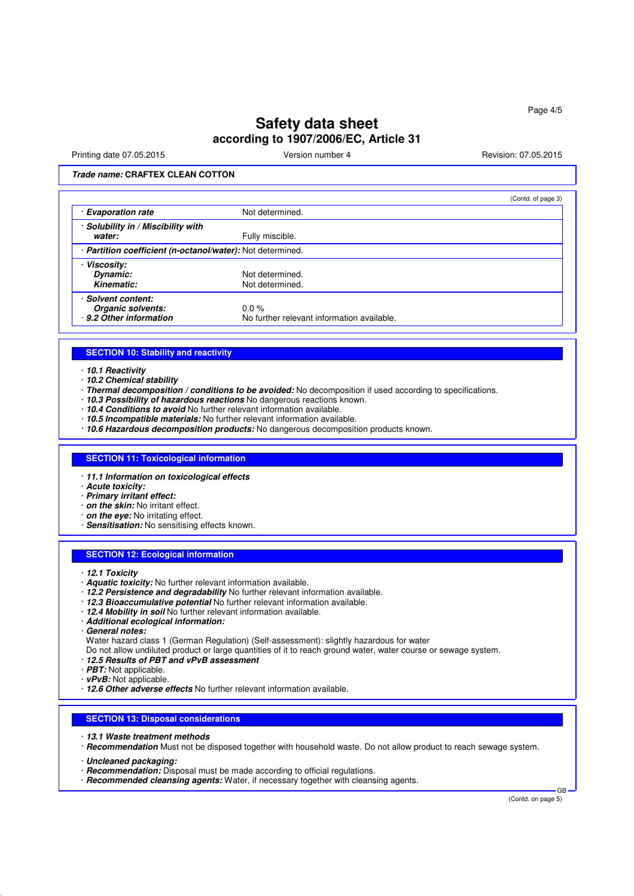Printing date 07.05.2015 **Version number 4** Account 2008 12:05.2015 **Revision: 07.05.2015** 

## **Trade name: CRAFTEX CLEAN COTTON**

|                                                            |                                            | (Contd. of page 3) |
|------------------------------------------------------------|--------------------------------------------|--------------------|
| · Evaporation rate                                         | Not determined.                            |                    |
| · Solubility in / Miscibility with                         |                                            |                    |
| water:                                                     | Fully miscible.                            |                    |
| · Partition coefficient (n-octanol/water): Not determined. |                                            |                    |
| · Viscosity:                                               |                                            |                    |
| Dynamic:                                                   | Not determined.                            |                    |
| Kinematic:                                                 | Not determined.                            |                    |
| · Solvent content:                                         |                                            |                    |
| Organic solvents:                                          | $0.0\%$                                    |                    |
| · 9.2 Other information                                    | No further relevant information available. |                    |

#### **SECTION 10: Stability and reactivity**

### · **10.1 Reactivity**

- · **10.2 Chemical stability**
- · **Thermal decomposition / conditions to be avoided:** No decomposition if used according to specifications.
- · **10.3 Possibility of hazardous reactions** No dangerous reactions known.
- · **10.4 Conditions to avoid** No further relevant information available.
- · **10.5 Incompatible materials:** No further relevant information available.
- · **10.6 Hazardous decomposition products:** No dangerous decomposition products known.

### **SECTION 11: Toxicological information**

- · **11.1 Information on toxicological effects**
- · **Acute toxicity:**
- · **Primary irritant effect:**
- · **on the skin:** No irritant effect.
- · **on the eye:** No irritating effect.
- · **Sensitisation:** No sensitising effects known.

### **SECTION 12: Ecological information**

- · **12.1 Toxicity**
- · **Aquatic toxicity:** No further relevant information available.
- · **12.2 Persistence and degradability** No further relevant information available.
- · **12.3 Bioaccumulative potential** No further relevant information available.
- · **12.4 Mobility in soil** No further relevant information available.
- · **Additional ecological information:**
- · **General notes:**
- Water hazard class 1 (German Regulation) (Self-assessment): slightly hazardous for water
- Do not allow undiluted product or large quantities of it to reach ground water, water course or sewage system.
- · **12.5 Results of PBT and vPvB assessment**
- · **PBT:** Not applicable.
- · **vPvB:** Not applicable.
- · **12.6 Other adverse effects** No further relevant information available.

### **SECTION 13: Disposal considerations**

- · **13.1 Waste treatment methods**
- · **Recommendation** Must not be disposed together with household waste. Do not allow product to reach sewage system.
- · **Uncleaned packaging:**
- · **Recommendation:** Disposal must be made according to official regulations.
- · **Recommended cleansing agents:** Water, if necessary together with cleansing agents.

(Contd. on page 5)

GB